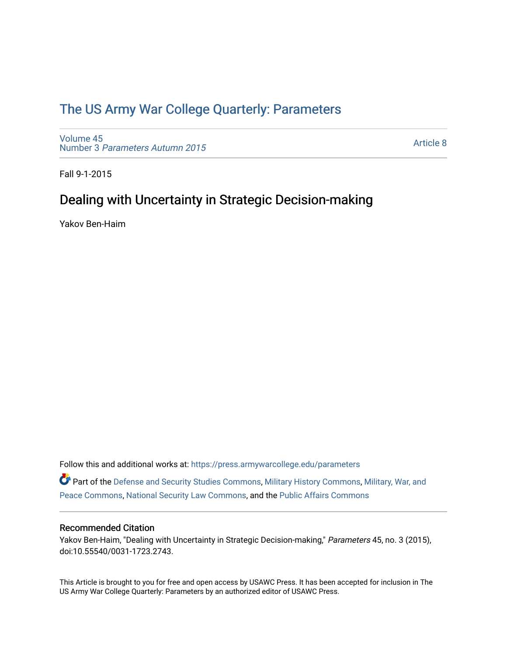## [The US Army War College Quarterly: Parameters](https://press.armywarcollege.edu/parameters)

[Volume 45](https://press.armywarcollege.edu/parameters/vol45) Number 3 [Parameters Autumn 2015](https://press.armywarcollege.edu/parameters/vol45/iss3)

[Article 8](https://press.armywarcollege.edu/parameters/vol45/iss3/8) 

Fall 9-1-2015

# Dealing with Uncertainty in Strategic Decision-making

Yakov Ben-Haim

Follow this and additional works at: [https://press.armywarcollege.edu/parameters](https://press.armywarcollege.edu/parameters?utm_source=press.armywarcollege.edu%2Fparameters%2Fvol45%2Fiss3%2F8&utm_medium=PDF&utm_campaign=PDFCoverPages) 

Part of the [Defense and Security Studies Commons](http://network.bepress.com/hgg/discipline/394?utm_source=press.armywarcollege.edu%2Fparameters%2Fvol45%2Fiss3%2F8&utm_medium=PDF&utm_campaign=PDFCoverPages), [Military History Commons,](http://network.bepress.com/hgg/discipline/504?utm_source=press.armywarcollege.edu%2Fparameters%2Fvol45%2Fiss3%2F8&utm_medium=PDF&utm_campaign=PDFCoverPages) [Military, War, and](http://network.bepress.com/hgg/discipline/861?utm_source=press.armywarcollege.edu%2Fparameters%2Fvol45%2Fiss3%2F8&utm_medium=PDF&utm_campaign=PDFCoverPages)  [Peace Commons](http://network.bepress.com/hgg/discipline/861?utm_source=press.armywarcollege.edu%2Fparameters%2Fvol45%2Fiss3%2F8&utm_medium=PDF&utm_campaign=PDFCoverPages), [National Security Law Commons,](http://network.bepress.com/hgg/discipline/1114?utm_source=press.armywarcollege.edu%2Fparameters%2Fvol45%2Fiss3%2F8&utm_medium=PDF&utm_campaign=PDFCoverPages) and the [Public Affairs Commons](http://network.bepress.com/hgg/discipline/399?utm_source=press.armywarcollege.edu%2Fparameters%2Fvol45%2Fiss3%2F8&utm_medium=PDF&utm_campaign=PDFCoverPages) 

## Recommended Citation

Yakov Ben-Haim, "Dealing with Uncertainty in Strategic Decision-making," Parameters 45, no. 3 (2015), doi:10.55540/0031-1723.2743.

This Article is brought to you for free and open access by USAWC Press. It has been accepted for inclusion in The US Army War College Quarterly: Parameters by an authorized editor of USAWC Press.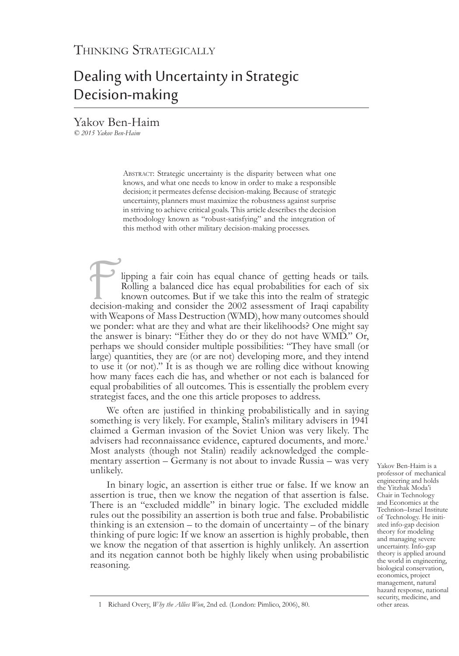# Dealing with Uncertainty in Strategic Decision-making

Yakov Ben-Haim *© 2015 Yakov Ben-Haim*

> ABSTRACT: Strategic uncertainty is the disparity between what one knows, and what one needs to know in order to make a responsible decision; it permeates defense decision-making. Because of strategic uncertainty, planners must maximize the robustness against surprise in striving to achieve critical goals. This article describes the decision methodology known as "robust-satisfying" and the integration of this method with other military decision-making processes.

lipping a fair coin has equal chance of getting heads or tails. Rolling a balanced dice has equal probabilities for each of six known outcomes. But if we take this into the realm of strategic decision-making and consider the 2002 assessment of Iraqi capability with Weapons of Mass Destruction (WMD), how many outcomes should we ponder: what are they and what are their likelihoods? One might say the answer is binary: "Either they do or they do not have WMD." Or, perhaps we should consider multiple possibilities: "They have small (or large) quantities, they are (or are not) developing more, and they intend to use it (or not)." It is as though we are rolling dice without knowing how many faces each die has, and whether or not each is balanced for equal probabilities of all outcomes. This is essentially the problem every strategist faces, and the one this article proposes to address.

We often are justified in thinking probabilistically and in saying something is very likely. For example, Stalin's military advisers in 1941 claimed a German invasion of the Soviet Union was very likely. The advisers had reconnaissance evidence, captured documents, and more.<sup>1</sup> Most analysts (though not Stalin) readily acknowledged the comple- mentary assertion – Germany is not about to invade Russia – was very unlikely.

In binary logic, an assertion is either true or false. If we know an assertion is true, then we know the negation of that assertion is false. There is an "excluded middle" in binary logic. The excluded middle rules out the possibility an assertion is both true and false. Probabilistic thinking is an extension – to the domain of uncertainty – of the binary thinking of pure logic: If we know an assertion is highly probable, then we know the negation of that assertion is highly unlikely. An assertion and its negation cannot both be highly likely when using probabilistic reasoning.

Yakov Ben-Haim is a professor of mechanical engineering and holds the Yitzhak Moda'i Chair in Technology and Economics at the Technion–Israel Institute of Technology. He initiated info-gap decision theory for modeling and managing severe uncertainty. Info-gap theory is applied around the world in engineering, biological conservation, economics, project management, natural hazard response, national security, medicine, and other areas.

<sup>1</sup> Richard Overy, *Why the Allies Won*, 2nd ed. (London: Pimlico, 2006), 80.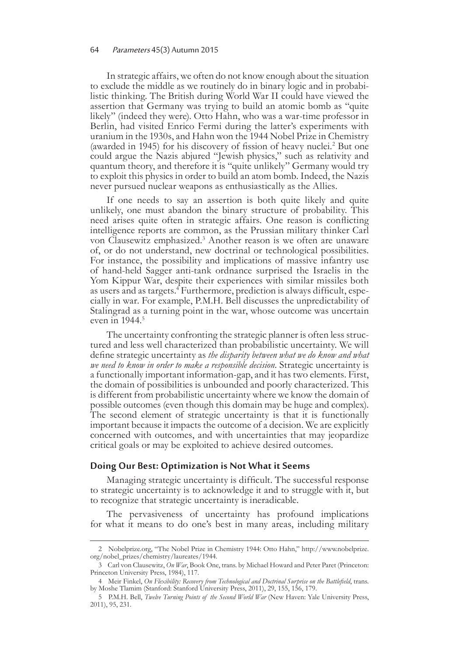### 64 Parameters 45(3) Autumn 2015

In strategic affairs, we often do not know enough about the situation to exclude the middle as we routinely do in binary logic and in probabi- listic thinking. The British during World War II could have viewed the assertion that Germany was trying to build an atomic bomb as "quite likely" (indeed they were). Otto Hahn, who was a war-time professor in Berlin, had visited Enrico Fermi during the latter's experiments with uranium in the 1930s, and Hahn won the 1944 Nobel Prize in Chemistry (awarded in 1945) for his discovery of fission of heavy nuclei.<sup>2</sup> But one could argue the Nazis abjured "Jewish physics," such as relativity and quantum theory, and therefore it is "quite unlikely" Germany would try to exploit this physics in order to build an atom bomb. Indeed, the Nazis never pursued nuclear weapons as enthusiastically as the Allies.

If one needs to say an assertion is both quite likely and quite unlikely, one must abandon the binary structure of probability. This need arises quite often in strategic affairs. One reason is conflicting intelligence reports are common, as the Prussian military thinker Carl von Clausewitz emphasized.3 Another reason is we often are unaware of, or do not understand, new doctrinal or technological possibilities. For instance, the possibility and implications of massive infantry use of hand-held Sagger anti-tank ordnance surprised the Israelis in the Yom Kippur War, despite their experiences with similar missiles both as users and as targets.<sup>4</sup> Furthermore, prediction is always difficult, especially in war. For example, P.M.H. Bell discusses the unpredictability of Stalingrad as a turning point in the war, whose outcome was uncertain even in  $1944$ <sup>5</sup>

The uncertainty confronting the strategic planner is often less structured and less well characterized than probabilistic uncertainty. We will define strategic uncertainty as *the disparity between what we do know and what we need to know in order to make a responsible decision*. Strategic uncertainty is a functionally important information-gap, and it has two elements. First, the domain of possibilities is unbounded and poorly characterized. This is different from probabilistic uncertainty where we know the domain of possible outcomes (even though this domain may be huge and complex). The second element of strategic uncertainty is that it is functionally important because it impacts the outcome of a decision. We are explicitly concerned with outcomes, and with uncertainties that may jeopardize critical goals or may be exploited to achieve desired outcomes.

## **Doing Our Best: Optimization is Not What it Seems**

Managing strategic uncertainty is difficult. The successful response to strategic uncertainty is to acknowledge it and to struggle with it, but to recognize that strategic uncertainty is ineradicable.

The pervasiveness of uncertainty has profound implications for what it means to do one's best in many areas, including military

<sup>2</sup> Nobelprize.org, "The Nobel Prize in Chemistry 1944: Otto Hahn," http://www.nobelprize. org/nobel\_prizes/chemistry/laureates/1944.

<sup>3</sup> Carl von Clausewitz, *On War*, Book One, trans. by Michael Howard and Peter Paret (Princeton: Princeton University Press, 1984), 117.

<sup>4</sup> Meir Finkel, *On Flexibility: Recovery from Technological and Doctrinal Surprise on the Battlefield*, trans. by Moshe Tlamim (Stanford: Stanford University Press, 2011), 29, 155, 156, 179.

<sup>5</sup> P.M.H. Bell, *Twelve Turning Points of the Second World War* (New Haven: Yale University Press, 2011), 95, 231.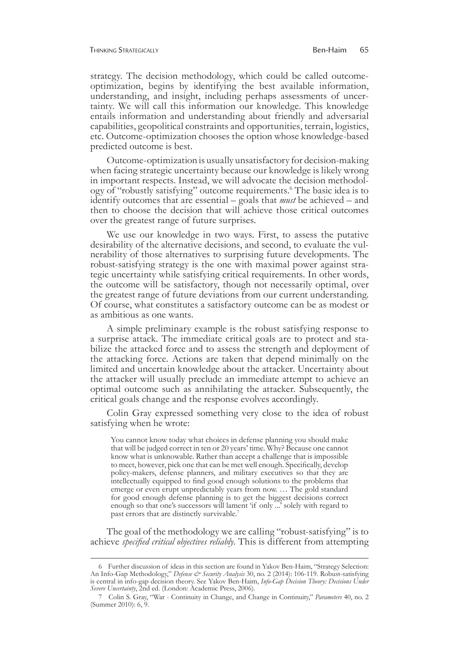#### Thinking Strategically Ben-Haim 65

strategy. The decision methodology, which could be called outcomeoptimization, begins by identifying the best available information, understanding, and insight, including perhaps assessments of uncer- tainty. We will call this information our knowledge. This knowledge entails information and understanding about friendly and adversarial capabilities, geopolitical constraints and opportunities, terrain, logistics, etc. Outcome-optimization chooses the option whose knowledge-based predicted outcome is best.

Outcome-optimization is usually unsatisfactory for decision-making when facing strategic uncertainty because our knowledge is likely wrong in important respects. Instead, we will advocate the decision methodology of "robustly satisfying" outcome requirements.6 The basic idea is to identify outcomes that are essential – goals that *must* be achieved – and then to choose the decision that will achieve those critical outcomes over the greatest range of future surprises.

We use our knowledge in two ways. First, to assess the putative desirability of the alternative decisions, and second, to evaluate the vulnerability of those alternatives to surprising future developments. The robust-satisfying strategy is the one with maximal power against strategic uncertainty while satisfying critical requirements. In other words, the outcome will be satisfactory, though not necessarily optimal, over the greatest range of future deviations from our current understanding. Of course, what constitutes a satisfactory outcome can be as modest or as ambitious as one wants.

A simple preliminary example is the robust satisfying response to a surprise attack. The immediate critical goals are to protect and stabilize the attacked force and to assess the strength and deployment of the attacking force. Actions are taken that depend minimally on the limited and uncertain knowledge about the attacker. Uncertainty about the attacker will usually preclude an immediate attempt to achieve an optimal outcome such as annihilating the attacker. Subsequently, the critical goals change and the response evolves accordingly.

Colin Gray expressed something very close to the idea of robust satisfying when he wrote:

You cannot know today what choices in defense planning you should make that will be judged correct in ten or 20 years' time. Why? Because one cannot know what is unknowable. Rather than accept a challenge that is impossible to meet, however, pick one that can be met well enough. Specifically, develop policy-makers, defense planners, and military executives so that they are intellectually equipped to find good enough solutions to the problems that emerge or even erupt unpredictably years from now. … The gold standard for good enough defense planning is to get the biggest decisions correct enough so that one's successors will lament 'if only ...' solely with regard to past errors that are distinctly survivable.<sup>7</sup>

The goal of the methodology we are calling "robust-satisfying" is to achieve *specified critical objectives reliably*. This is different from attempting

<sup>6</sup> Further discussion of ideas in this section are found in Yakov Ben-Haim, "Strategy Selection: An Info-Gap Methodology," *Defense & Security Analysis* 30, no. 2 (2014): 106-119. Robust-satisfying is central in info-gap decision theory. See Yakov Ben-Haim, *Info-Gap Decision Theory: Decisions Under Severe Uncertainty*, 2nd ed. (London: Academic Press, 2006).

<sup>7</sup> Colin S. Gray, "War - Continuity in Change, and Change in Continuity," *Parameters* 40, no. 2 (Summer 2010): 6, 9.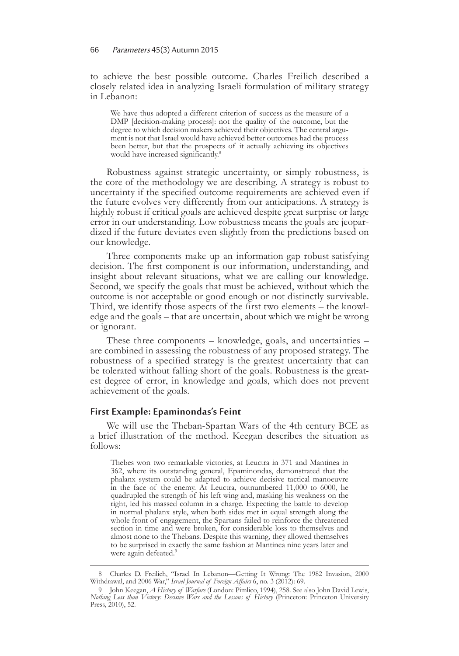to achieve the best possible outcome. Charles Freilich described a closely related idea in analyzing Israeli formulation of military strategy in Lebanon:

We have thus adopted a different criterion of success as the measure of a DMP [decision-making process]: not the quality of the outcome, but the degree to which decision makers achieved their objectives. The central argument is not that Israel would have achieved better outcomes had the process been better, but that the prospects of it actually achieving its objectives would have increased significantly.<sup>8</sup>

Robustness against strategic uncertainty, or simply robustness, is the core of the methodology we are describing. A strategy is robust to uncertainty if the specified outcome requirements are achieved even if the future evolves very differently from our anticipations. A strategy is highly robust if critical goals are achieved despite great surprise or large error in our understanding. Low robustness means the goals are jeopardized if the future deviates even slightly from the predictions based on our knowledge.

Three components make up an information-gap robust-satisfying decision. The first component is our information, understanding, and insight about relevant situations, what we are calling our knowledge. Second, we specify the goals that must be achieved, without which the outcome is not acceptable or good enough or not distinctly survivable. Third, we identify those aspects of the first two elements – the knowl- edge and the goals – that are uncertain, about which we might be wrong or ignorant.

These three components – knowledge, goals, and uncertainties – are combined in assessing the robustness of any proposed strategy. The robustness of a specified strategy is the greatest uncertainty that can be tolerated without falling short of the goals. Robustness is the great- est degree of error, in knowledge and goals, which does not prevent achievement of the goals.

## **First Example: Epaminondas's Feint**

We will use the Theban-Spartan Wars of the 4th century BCE as a brief illustration of the method. Keegan describes the situation as follows:

Thebes won two remarkable victories, at Leuctra in 371 and Mantinea in 362, where its outstanding general, Epaminondas, demonstrated that the phalanx system could be adapted to achieve decisive tactical manoeuvre in the face of the enemy. At Leuctra, outnumbered 11,000 to 6000, he quadrupled the strength of his left wing and, masking his weakness on the right, led his massed column in a charge. Expecting the battle to develop in normal phalanx style, when both sides met in equal strength along the whole front of engagement, the Spartans failed to reinforce the threatened section in time and were broken, for considerable loss to themselves and almost none to the Thebans. Despite this warning, they allowed themselves to be surprised in exactly the same fashion at Mantinea nine years later and were again defeated.<sup>9</sup>

<sup>8</sup> Charles D. Freilich, "Israel In Lebanon—Getting It Wrong: The 1982 Invasion, 2000 Withdrawal, and 2006 War," *Israel Journal of Foreign Affairs* 6, no. 3 (2012): 69.

<sup>9</sup> John Keegan, *A History of Warfare* (London: Pimlico, 1994), 258. See also John David Lewis, *Nothing Less than Victory: Decisive Wars and the Lessons of History* (Princeton: Princeton University Press, 2010), 52.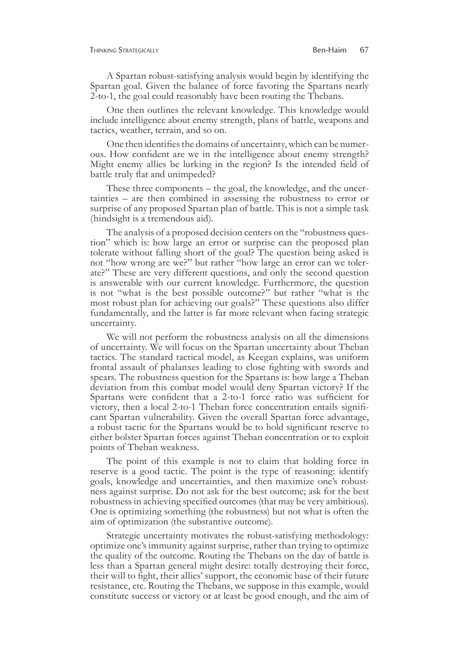A Spartan robust-satisfying analysis would begin by identifying the Spartan goal. Given the balance of force favoring the Spartans nearly 2-to-1, the goal could reasonably have been routing the Thebans.

One then outlines the relevant knowledge. This knowledge would include intelligence about enemy strength, plans of battle, weapons and tactics, weather, terrain, and so on.

One then identifies the domains of uncertainty, which can be numer- ous. How confident are we in the intelligence about enemy strength? Might enemy allies be lurking in the region? Is the intended field of battle truly flat and unimpeded?

These three components – the goal, the knowledge, and the uncer- tainties – are then combined in assessing the robustness to error or surprise of any proposed Spartan plan of battle. This is not a simple task (hindsight is a tremendous aid).

The analysis of a proposed decision centers on the "robustness ques- tion" which is: how large an error or surprise can the proposed plan tolerate without falling short of the goal? The question being asked is not "how wrong are we?" but rather "how large an error can we toler-<br>ate?" These are very different questions, and only the second question is answerable with our current knowledge. Furthermore, the question is not "what is the best possible outcome?" but rather "what is the most robust plan for achieving our goals?" These questions also differ fundamentally, and the latter is far more relevant when facing strategic uncertainty.

We will not perform the robustness analysis on all the dimensions of uncertainty. We will focus on the Spartan uncertainty about Theban tactics. The standard tactical model, as Keegan explains, was uniform frontal assault of phalanxes leading to close fighting with swords and spears. The robustness question for the Spartans is: how large a Theban deviation from this combat model would deny Spartan victory? If the Spartans were confident that a 2-to-1 force ratio was sufficient for victory, then a local 2-to-1 Theban force concentration entails signifi- cant Spartan vulnerability. Given the overall Spartan force advantage, a robust tactic for the Spartans would be to hold significant reserve to either bolster Spartan forces against Theban concentration or to exploit points of Theban weakness.

The point of this example is not to claim that holding force in reserve is a good tactic. The point is the type of reasoning: identify goals, knowledge and uncertainties, and then maximize one's robustness against surprise. Do not ask for the best outcome; ask for the best robustness in achieving specified outcomes (that may be very ambitious). One is optimizing something (the robustness) but not what is often the aim of optimization (the substantive outcome).

Strategic uncertainty motivates the robust-satisfying methodology: optimize one's immunity against surprise, rather than trying to optimize the quality of the outcome. Routing the Thebans on the day of battle is less than a Spartan general might desire: totally destroying their force, their will to fight, their allies' support, the economic base of their future resistance, etc. Routing the Thebans, we suppose in this example, would constitute success or victory or at least be good enough, and the aim of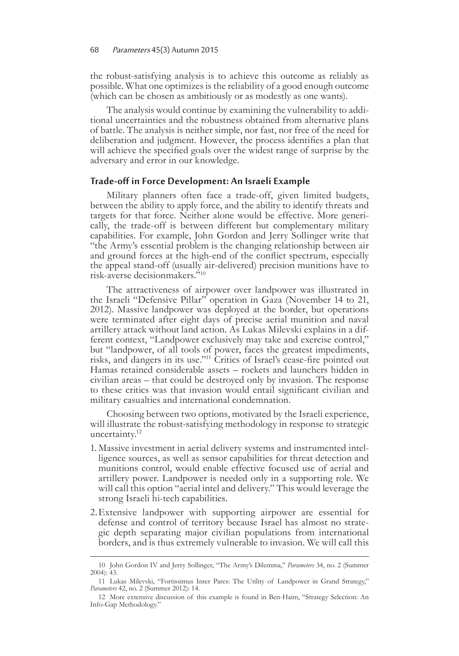the robust-satisfying analysis is to achieve this outcome as reliably as possible. What one optimizes is the reliability of a good enough outcome (which can be chosen as ambitiously or as modestly as one wants).

The analysis would continue by examining the vulnerability to addi- tional uncertainties and the robustness obtained from alternative plans of battle. The analysis is neither simple, nor fast, nor free of the need for deliberation and judgment. However, the process identifies a plan that will achieve the specified goals over the widest range of surprise by the adversary and error in our knowledge.

## **Trade-off in Force Development: An Israeli Example**

Military planners often face a trade-off, given limited budgets, between the ability to apply force, and the ability to identify threats and targets for that force. Neither alone would be effective. More generi- cally, the trade-off is between different but complementary military capabilities. For example, John Gordon and Jerry Sollinger write that "the Army's essential problem is the changing relationship between air and ground forces at the high-end of the conflict spectrum, especially the appeal stand-off (usually air-delivered) precision munitions have to risk-averse decisionmakers."10

The attractiveness of airpower over landpower was illustrated in the Israeli "Defensive Pillar" operation in Gaza (November 14 to 21, 2012). Massive landpower was deployed at the border, but operations were terminated after eight days of precise aerial munition and naval artillery attack without land action. As Lukas Milevski explains in a different context, "Landpower exclusively may take and exercise control," but "landpower, of all tools of power, faces the greatest impediments, risks, and dangers in its use."11 Critics of Israel's cease-fire pointed out Hamas retained considerable assets – rockets and launchers hidden in civilian areas – that could be destroyed only by invasion. The response to these critics was that invasion would entail significant civilian and military casualties and international condemnation.

Choosing between two options, motivated by the Israeli experience, will illustrate the robust-satisfying methodology in response to strategic uncertainty.<sup>12</sup>

- 1. Massive investment in aerial delivery systems and instrumented intelligence sources, as well as sensor capabilities for threat detection and munitions control, would enable effective focused use of aerial and artillery power. Landpower is needed only in a supporting role. We will call this option "aerial intel and delivery." This would leverage the strong Israeli hi-tech capabilities.
- 2.Extensive landpower with supporting airpower are essential for defense and control of territory because Israel has almost no strate- gic depth separating major civilian populations from international borders, and is thus extremely vulnerable to invasion. We will call this

<sup>10</sup> John Gordon IV and Jerry Sollinger, "The Army's Dilemma," *Parameters* 34, no. 2 (Summer 2004): 43.

<sup>11</sup> Lukas Milevski, "Fortissimus Inter Pares: The Utility of Landpower in Grand Strategy," *Parameters* 42, no. 2 (Summer 2012): 14.

<sup>12</sup> More extensive discussion of this example is found in Ben-Haim, "Strategy Selection: An Info-Gap Methodology."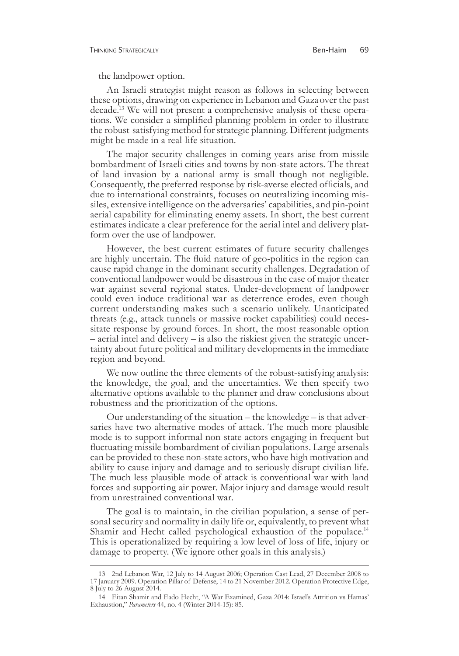the landpower option.

An Israeli strategist might reason as follows in selecting between these options, drawing on experience in Lebanon and Gazaover the past decade.<sup>13</sup> We will not present a comprehensive analysis of these operations. We consider a simplified planning problem in order to illustrate the robust-satisfying method for strategic planning. Different judgments might be made in a real-life situation.

The major security challenges in coming years arise from missile bombardment of Israeli cities and towns by non-state actors. The threat of land invasion by a national army is small though not negligible. Consequently, the preferred response by risk-averse elected officials, and due to international constraints, focuses on neutralizing incoming missiles, extensive intelligence on the adversaries' capabilities, and pin-point aerial capability for eliminating enemy assets. In short, the best current estimates indicate a clear preference for the aerial intel and delivery platform over the use of landpower.

However, the best current estimates of future security challenges are highly uncertain. The fluid nature of geo-politics in the region can cause rapid change in the dominant security challenges. Degradation of conventional landpower would be disastrous in the case of major theater war against several regional states. Under-development of landpower could even induce traditional war as deterrence erodes, even though current understanding makes such a scenario unlikely. Unanticipated threats (e.g., attack tunnels or massive rocket capabilities) could neces- sitate response by ground forces. In short, the most reasonable option – aerial intel and delivery – is also the riskiest given the strategic uncertainty about future political and military developments in the immediate region and beyond.

We now outline the three elements of the robust-satisfying analysis: the knowledge, the goal, and the uncertainties. We then specify two alternative options available to the planner and draw conclusions about robustness and the prioritization of the options.

Our understanding of the situation – the knowledge – is that adversaries have two alternative modes of attack. The much more plausible mode is to support informal non-state actors engaging in frequent but fluctuating missile bombardment of civilian populations. Large arsenals can be provided to these non-state actors, who have high motivation and ability to cause injury and damage and to seriously disrupt civilian life. The much less plausible mode of attack is conventional war with land forces and supporting air power. Major injury and damage would result from unrestrained conventional war.

The goal is to maintain, in the civilian population, a sense of per-<br>sonal security and normality in daily life or, equivalently, to prevent what Shamir and Hecht called psychological exhaustion of the populace.<sup>14</sup> This is operationalized by requiring a low level of loss of life, injury or damage to property. (We ignore other goals in this analysis.)

<sup>13 2</sup>nd Lebanon War, 12 July to 14 August 2006; Operation Cast Lead, 27 December 2008 to 17 January 2009. Operation Pillar of Defense, 14 to 21 November 2012. Operation Protective Edge, 8 July to 26 August 2014.

<sup>14</sup> Eitan Shamir and Eado Hecht, "A War Examined, Gaza 2014: Israel's Attrition vs Hamas' Exhaustion," *Parameters* 44, no. 4 (Winter 2014-15): 85.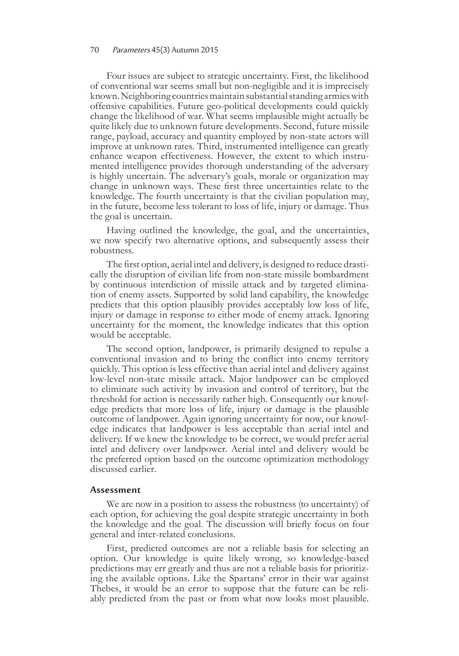## 70 Parameters 45(3) Autumn 2015

Four issues are subject to strategic uncertainty. First, the likelihood of conventional war seems small but non-negligible and it is imprecisely known. Neighboring countries maintain substantial standing armies with offensive capabilities. Future geo-political developments could quickly change the likelihood of war. What seems implausible might actually be quite likely due to unknown future developments. Second, future missile range, payload, accuracy and quantity employed by non-state actors will improve at unknown rates. Third, instrumented intelligence can greatly enhance weapon effectiveness. However, the extent to which instru- mented intelligence provides thorough understanding of the adversary is highly uncertain. The adversary's goals, morale or organization may change in unknown ways. These first three uncertainties relate to the knowledge. The fourth uncertainty is that the civilian population may, in the future, become less tolerant to loss of life, injury or damage. Thus the goal is uncertain.

Having outlined the knowledge, the goal, and the uncertainties, we now specify two alternative options, and subsequently assess their robustness.

The first option, aerial intel and delivery, is designed to reduce drastically the disruption of civilian life from non-state missile bombardment by continuous interdiction of missile attack and by targeted elimination of enemy assets. Supported by solid land capability, the knowledge predicts that this option plausibly provides acceptably low loss of life, injury or damage in response to either mode of enemy attack. Ignoring uncertainty for the moment, the knowledge indicates that this option would be acceptable.

The second option, landpower, is primarily designed to repulse a conventional invasion and to bring the conflict into enemy territory quickly. This option is less effective than aerial intel and delivery against low-level non-state missile attack. Major landpower can be employed to eliminate such activity by invasion and control of territory, but the threshold for action is necessarily rather high. Consequently our knowledge predicts that more loss of life, injury or damage is the plausible outcome of landpower. Again ignoring uncertainty for now, our knowl- edge indicates that landpower is less acceptable than aerial intel and delivery. If we knew the knowledge to be correct, we would prefer aerial intel and delivery over landpower. Aerial intel and delivery would be the preferred option based on the outcome optimization methodology discussed earlier.

## **Assessment**

We are now in a position to assess the robustness (to uncertainty) of each option, for achieving the goal despite strategic uncertainty in both the knowledge and the goal. The discussion will briefly focus on four general and inter-related conclusions.

First, predicted outcomes are not a reliable basis for selecting an option. Our knowledge is quite likely wrong, so knowledge-based predictions may err greatly and thus are not a reliable basis for prioritiz- ing the available options. Like the Spartans' error in their war against Thebes, it would be an error to suppose that the future can be reliably predicted from the past or from what now looks most plausible.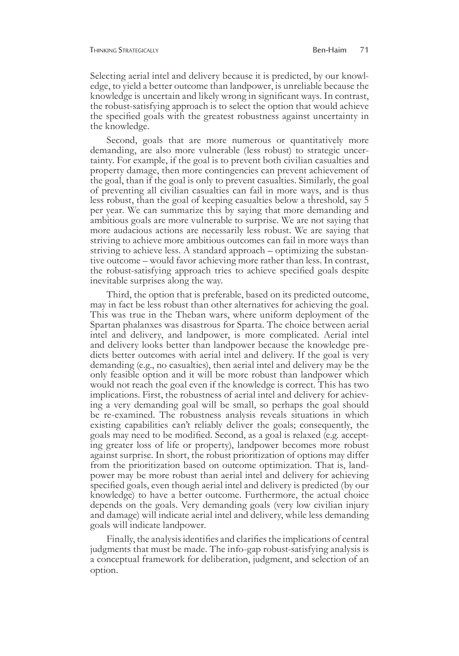#### Thinking Strategically Ben-Haim 71

Selecting aerial intel and delivery because it is predicted, by our knowl- edge, to yield a better outcome than landpower, is unreliable because the knowledge is uncertain and likely wrong in significant ways. In contrast, the robust-satisfying approach is to select the option that would achieve the specified goals with the greatest robustness against uncertainty in the knowledge.

Second, goals that are more numerous or quantitatively more demanding, are also more vulnerable (less robust) to strategic uncer- tainty. For example, if the goal is to prevent both civilian casualties and property damage, then more contingencies can prevent achievement of the goal, than if the goal is only to prevent casualties. Similarly, the goal of preventing all civilian casualties can fail in more ways, and is thus less robust, than the goal of keeping casualties below a threshold, say 5 per year. We can summarize this by saying that more demanding and ambitious goals are more vulnerable to surprise. We are not saying that more audacious actions are necessarily less robust. We are saying that striving to achieve more ambitious outcomes can fail in more ways than striving to achieve less. A standard approach – optimizing the substantive outcome – would favor achieving more rather than less. In contrast, the robust-satisfying approach tries to achieve specified goals despite inevitable surprises along the way.

Third, the option that is preferable, based on its predicted outcome, may in fact be less robust than other alternatives for achieving the goal. This was true in the Theban wars, where uniform deployment of the Spartan phalanxes was disastrous for Sparta. The choice between aerial intel and delivery, and landpower, is more complicated. Aerial intel and delivery looks better than landpower because the knowledge predicts better outcomes with aerial intel and delivery. If the goal is very demanding (e.g., no casualties), then aerial intel and delivery may be the only feasible option and it will be more robust than landpower which would not reach the goal even if the knowledge is correct. This has two implications. First, the robustness of aerial intel and delivery for achieving a very demanding goal will be small, so perhaps the goal should be re-examined. The robustness analysis reveals situations in which existing capabilities can't reliably deliver the goals; consequently, the goals may need to be modified. Second, as a goal is relaxed (e.g. accept- ing greater loss of life or property), landpower becomes more robust against surprise. In short, the robust prioritization of options may differ from the prioritization based on outcome optimization. That is, land- power may be more robust than aerial intel and delivery for achieving specified goals, even though aerial intel and delivery is predicted (by our knowledge) to have a better outcome. Furthermore, the actual choice depends on the goals. Very demanding goals (very low civilian injury and damage) will indicate aerial intel and delivery, while less demanding goals will indicate landpower.

Finally, the analysis identifies and clarifies the implications of central judgments that must be made. The info-gap robust-satisfying analysis is a conceptual framework for deliberation, judgment, and selection of an option.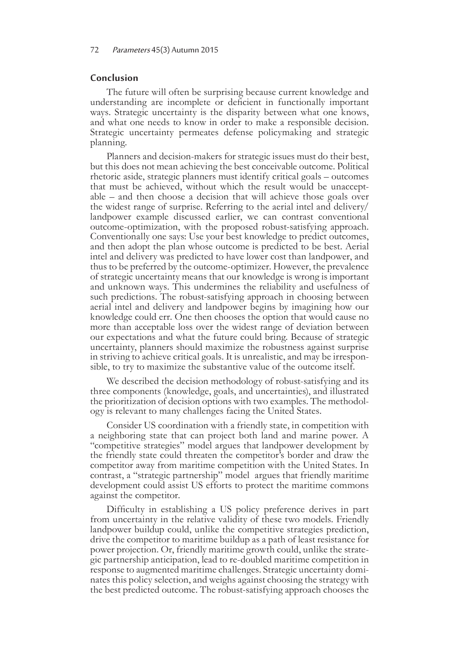## **Conclusion**

The future will often be surprising because current knowledge and understanding are incomplete or deficient in functionally important ways. Strategic uncertainty is the disparity between what one knows, and what one needs to know in order to make a responsible decision. Strategic uncertainty permeates defense policymaking and strategic planning.

Planners and decision-makers for strategic issues must do their best, but this does not mean achieving the best conceivable outcome. Political rhetoric aside, strategic planners must identify critical goals – outcomes that must be achieved, without which the result would be unacceptable – and then choose a decision that will achieve those goals over the widest range of surprise. Referring to the aerial intel and delivery/ landpower example discussed earlier, we can contrast conventional outcome-optimization, with the proposed robust-satisfying approach. Conventionally one says: Use your best knowledge to predict outcomes, and then adopt the plan whose outcome is predicted to be best. Aerial intel and delivery was predicted to have lower cost than landpower, and thus to be preferred by the outcome-optimizer. However, the prevalence of strategic uncertainty means that our knowledge is wrong is important and unknown ways. This undermines the reliability and usefulness of such predictions. The robust-satisfying approach in choosing between aerial intel and delivery and landpower begins by imagining how our knowledge could err. One then chooses the option that would cause no more than acceptable loss over the widest range of deviation between our expectations and what the future could bring. Because of strategic uncertainty, planners should maximize the robustness against surprise in striving to achieve critical goals. It is unrealistic, and may be irrespon- sible, to try to maximize the substantive value of the outcome itself.

We described the decision methodology of robust-satisfying and its three components (knowledge, goals, and uncertainties), and illustrated the prioritization of decision options with two examples. The methodology is relevant to many challenges facing the United States.

Consider US coordination with a friendly state, in competition with a neighboring state that can project both land and marine power. A "competitive strategies" model argues that landpower development by the friendly state could threaten the competitor's border and draw the competitor away from maritime competition with the United States. In contrast, a "strategic partnership" model argues that friendly maritime development could assist US efforts to protect the maritime commons against the competitor.

Difficulty in establishing a US policy preference derives in part from uncertainty in the relative validity of these two models. Friendly landpower buildup could, unlike the competitive strategies prediction, drive the competitor to maritime buildup as a path of least resistance for power projection. Or, friendly maritime growth could, unlike the strategic partnership anticipation, lead to re-doubled maritime competition in response to augmented maritime challenges. Strategic uncertainty dominates this policy selection, and weighs against choosing the strategy with the best predicted outcome. The robust-satisfying approach chooses the